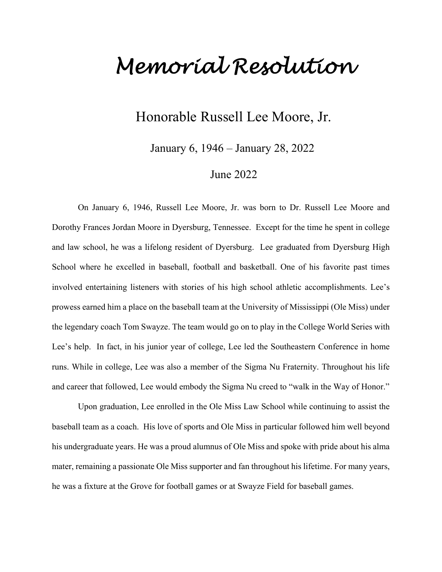## *Memorial Resolution*

## Honorable Russell Lee Moore, Jr.

January 6, 1946 – January 28, 2022

## June 2022

On January 6, 1946, Russell Lee Moore, Jr. was born to Dr. Russell Lee Moore and Dorothy Frances Jordan Moore in Dyersburg, Tennessee. Except for the time he spent in college and law school, he was a lifelong resident of Dyersburg. Lee graduated from Dyersburg High School where he excelled in baseball, football and basketball. One of his favorite past times involved entertaining listeners with stories of his high school athletic accomplishments. Lee's prowess earned him a place on the baseball team at the University of Mississippi (Ole Miss) under the legendary coach Tom Swayze. The team would go on to play in the College World Series with Lee's help. In fact, in his junior year of college, Lee led the Southeastern Conference in home runs. While in college, Lee was also a member of the Sigma Nu Fraternity. Throughout his life and career that followed, Lee would embody the Sigma Nu creed to "walk in the Way of Honor."

Upon graduation, Lee enrolled in the Ole Miss Law School while continuing to assist the baseball team as a coach. His love of sports and Ole Miss in particular followed him well beyond his undergraduate years. He was a proud alumnus of Ole Miss and spoke with pride about his alma mater, remaining a passionate Ole Miss supporter and fan throughout his lifetime. For many years, he was a fixture at the Grove for football games or at Swayze Field for baseball games.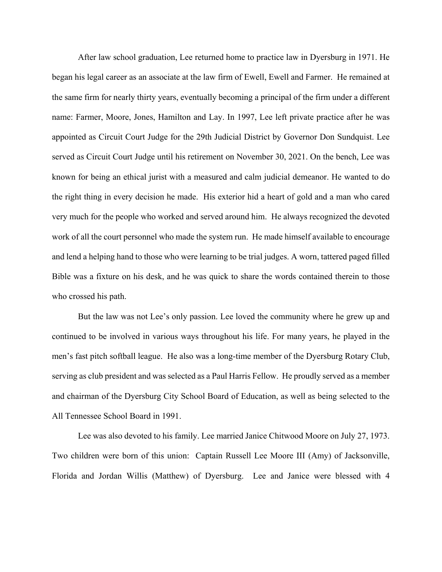After law school graduation, Lee returned home to practice law in Dyersburg in 1971. He began his legal career as an associate at the law firm of Ewell, Ewell and Farmer. He remained at the same firm for nearly thirty years, eventually becoming a principal of the firm under a different name: Farmer, Moore, Jones, Hamilton and Lay. In 1997, Lee left private practice after he was appointed as Circuit Court Judge for the 29th Judicial District by Governor Don Sundquist. Lee served as Circuit Court Judge until his retirement on November 30, 2021. On the bench, Lee was known for being an ethical jurist with a measured and calm judicial demeanor. He wanted to do the right thing in every decision he made. His exterior hid a heart of gold and a man who cared very much for the people who worked and served around him. He always recognized the devoted work of all the court personnel who made the system run. He made himself available to encourage and lend a helping hand to those who were learning to be trial judges. A worn, tattered paged filled Bible was a fixture on his desk, and he was quick to share the words contained therein to those who crossed his path.

But the law was not Lee's only passion. Lee loved the community where he grew up and continued to be involved in various ways throughout his life. For many years, he played in the men's fast pitch softball league. He also was a long-time member of the Dyersburg Rotary Club, serving as club president and was selected as a Paul Harris Fellow. He proudly served as a member and chairman of the Dyersburg City School Board of Education, as well as being selected to the All Tennessee School Board in 1991.

Lee was also devoted to his family. Lee married Janice Chitwood Moore on July 27, 1973. Two children were born of this union: Captain Russell Lee Moore III (Amy) of Jacksonville, Florida and Jordan Willis (Matthew) of Dyersburg. Lee and Janice were blessed with 4